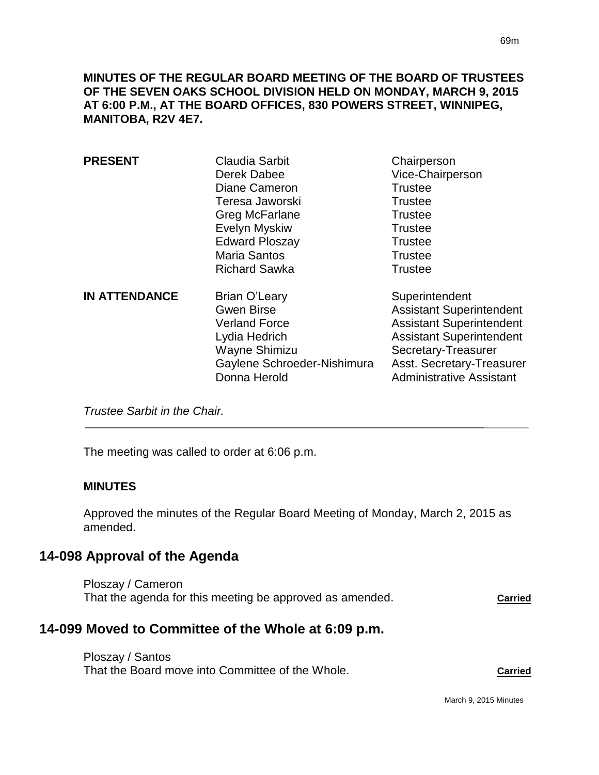**MINUTES OF THE REGULAR BOARD MEETING OF THE BOARD OF TRUSTEES OF THE SEVEN OAKS SCHOOL DIVISION HELD ON MONDAY, MARCH 9, 2015 AT 6:00 P.M., AT THE BOARD OFFICES, 830 POWERS STREET, WINNIPEG, MANITOBA, R2V 4E7.**

| <b>PRESENT</b>       | Claudia Sarbit<br>Derek Dabee<br>Diane Cameron<br>Teresa Jaworski<br>Greg McFarlane<br>Evelyn Myskiw<br><b>Edward Ploszay</b><br><b>Maria Santos</b><br><b>Richard Sawka</b> | Chairperson<br>Vice-Chairperson<br><b>Trustee</b><br><b>Trustee</b><br><b>Trustee</b><br><b>Trustee</b><br><b>Trustee</b><br><b>Trustee</b><br><b>Trustee</b>                                                  |
|----------------------|------------------------------------------------------------------------------------------------------------------------------------------------------------------------------|----------------------------------------------------------------------------------------------------------------------------------------------------------------------------------------------------------------|
| <b>IN ATTENDANCE</b> | Brian O'Leary<br><b>Gwen Birse</b><br><b>Verland Force</b><br>Lydia Hedrich<br>Wayne Shimizu<br>Gaylene Schroeder-Nishimura<br>Donna Herold                                  | Superintendent<br><b>Assistant Superintendent</b><br><b>Assistant Superintendent</b><br><b>Assistant Superintendent</b><br>Secretary-Treasurer<br>Asst. Secretary-Treasurer<br><b>Administrative Assistant</b> |

*Trustee Sarbit in the Chair.* 

The meeting was called to order at 6:06 p.m.

#### **MINUTES**

Approved the minutes of the Regular Board Meeting of Monday, March 2, 2015 as amended.

# **14-098 Approval of the Agenda**

Ploszay / Cameron That the agenda for this meeting be approved as amended. Carried

# **14-099 Moved to Committee of the Whole at 6:09 p.m.**

Ploszay / Santos That the Board move into Committee of the Whole. **Carried**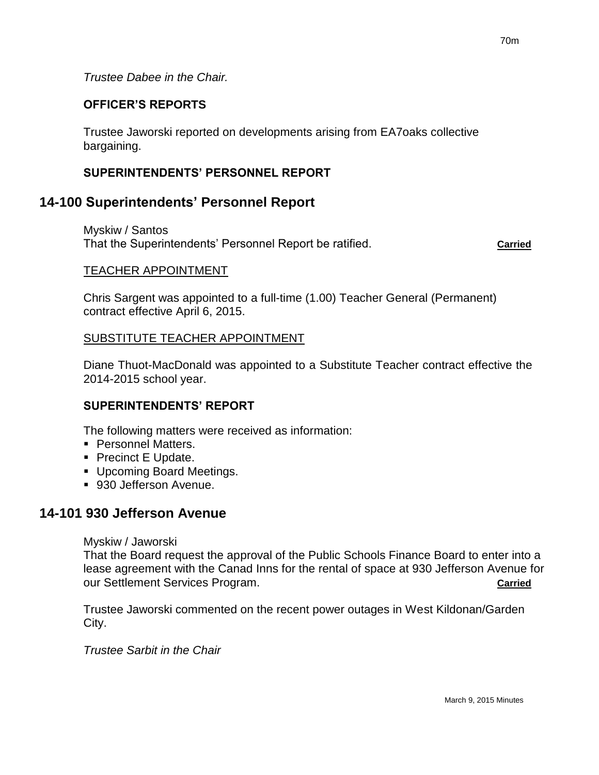*Trustee Dabee in the Chair.*

## **OFFICER'S REPORTS**

Trustee Jaworski reported on developments arising from EA7oaks collective bargaining.

## **SUPERINTENDENTS' PERSONNEL REPORT**

## **14-100 Superintendents' Personnel Report**

Myskiw / Santos That the Superintendents' Personnel Report be ratified. **Carried**

#### TEACHER APPOINTMENT

Chris Sargent was appointed to a full-time (1.00) Teacher General (Permanent) contract effective April 6, 2015.

### SUBSTITUTE TEACHER APPOINTMENT

Diane Thuot-MacDonald was appointed to a Substitute Teacher contract effective the 2014-2015 school year.

### **SUPERINTENDENTS' REPORT**

The following matters were received as information:

- **Personnel Matters.**
- Precinct E Update.
- **Upcoming Board Meetings.**
- 930 Jefferson Avenue.

# **14-101 930 Jefferson Avenue**

Myskiw / Jaworski

That the Board request the approval of the Public Schools Finance Board to enter into a lease agreement with the Canad Inns for the rental of space at 930 Jefferson Avenue for our Settlement Services Program. **Carried**

Trustee Jaworski commented on the recent power outages in West Kildonan/Garden City.

*Trustee Sarbit in the Chair*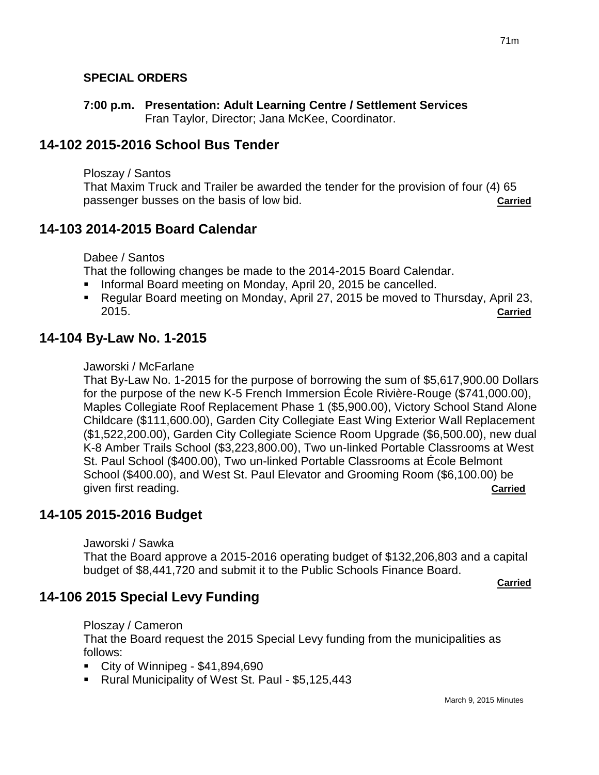## **SPECIAL ORDERS**

**7:00 p.m. Presentation: Adult Learning Centre / Settlement Services** Fran Taylor, Director; Jana McKee, Coordinator.

# **14-102 2015-2016 School Bus Tender**

Ploszay / Santos

That Maxim Truck and Trailer be awarded the tender for the provision of four (4) 65 passenger busses on the basis of low bid. **Carried**

## **14-103 2014-2015 Board Calendar**

Dabee / Santos

That the following changes be made to the 2014-2015 Board Calendar.

- Informal Board meeting on Monday, April 20, 2015 be cancelled.
- Regular Board meeting on Monday, April 27, 2015 be moved to Thursday, April 23, 2015. **Carried**

# **14-104 By-Law No. 1-2015**

#### Jaworski / McFarlane

That By-Law No. 1-2015 for the purpose of borrowing the sum of \$5,617,900.00 Dollars for the purpose of the new K-5 French Immersion École Rivière-Rouge (\$741,000.00), Maples Collegiate Roof Replacement Phase 1 (\$5,900.00), Victory School Stand Alone Childcare (\$111,600.00), Garden City Collegiate East Wing Exterior Wall Replacement (\$1,522,200.00), Garden City Collegiate Science Room Upgrade (\$6,500.00), new dual K-8 Amber Trails School (\$3,223,800.00), Two un-linked Portable Classrooms at West St. Paul School (\$400.00), Two un-linked Portable Classrooms at École Belmont School (\$400.00), and West St. Paul Elevator and Grooming Room (\$6,100.00) be given first reading. **Carried**

# **14-105 2015-2016 Budget**

Jaworski / Sawka

That the Board approve a 2015-2016 operating budget of \$132,206,803 and a capital budget of \$8,441,720 and submit it to the Public Schools Finance Board.

**Carried**

# **14-106 2015 Special Levy Funding**

Ploszay / Cameron

That the Board request the 2015 Special Levy funding from the municipalities as follows:

City of Winnipeg -  $$41,894,690$ 

Rural Municipality of West St. Paul - \$5,125,443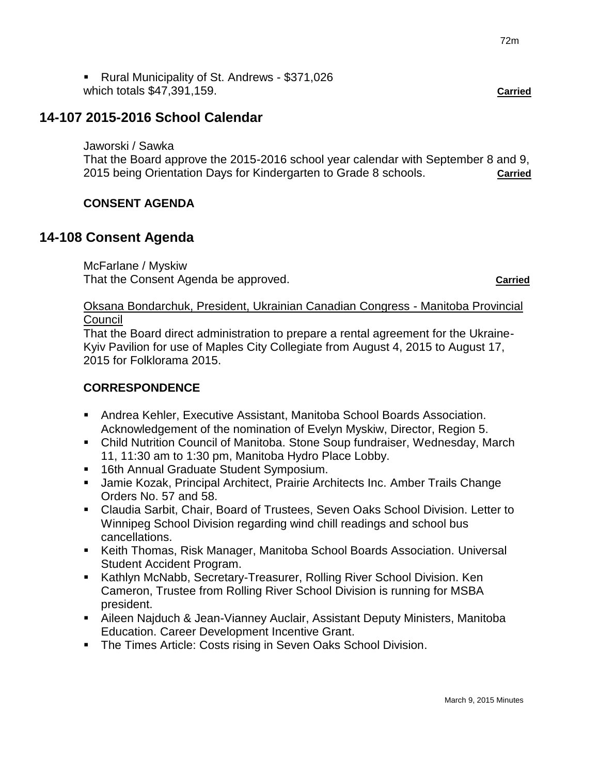Rural Municipality of St. Andrews - \$371,026 which totals \$47,391,159. **Carried**

# **14-107 2015-2016 School Calendar**

#### Jaworski / Sawka

That the Board approve the 2015-2016 school year calendar with September 8 and 9, 2015 being Orientation Days for Kindergarten to Grade 8 schools. **Carried**

## **CONSENT AGENDA**

# **14-108 Consent Agenda**

McFarlane / Myskiw That the Consent Agenda be approved. **Carried**

## Oksana Bondarchuk, President, Ukrainian Canadian Congress - Manitoba Provincial **Council**

That the Board direct administration to prepare a rental agreement for the Ukraine-Kyiv Pavilion for use of Maples City Collegiate from August 4, 2015 to August 17, 2015 for Folklorama 2015.

## **CORRESPONDENCE**

- Andrea Kehler, Executive Assistant, Manitoba School Boards Association. Acknowledgement of the nomination of Evelyn Myskiw, Director, Region 5.
- Child Nutrition Council of Manitoba. Stone Soup fundraiser, Wednesday, March 11, 11:30 am to 1:30 pm, Manitoba Hydro Place Lobby.
- **16th Annual Graduate Student Symposium.**
- Jamie Kozak, Principal Architect, Prairie Architects Inc. Amber Trails Change Orders No. 57 and 58.
- Claudia Sarbit, Chair, Board of Trustees, Seven Oaks School Division. Letter to Winnipeg School Division regarding wind chill readings and school bus cancellations.
- Keith Thomas, Risk Manager, Manitoba School Boards Association. Universal Student Accident Program.
- **Kathlyn McNabb, Secretary-Treasurer, Rolling River School Division. Ken** Cameron, Trustee from Rolling River School Division is running for MSBA president.
- Aileen Najduch & Jean-Vianney Auclair, Assistant Deputy Ministers, Manitoba Education. Career Development Incentive Grant.
- **The Times Article: Costs rising in Seven Oaks School Division.**